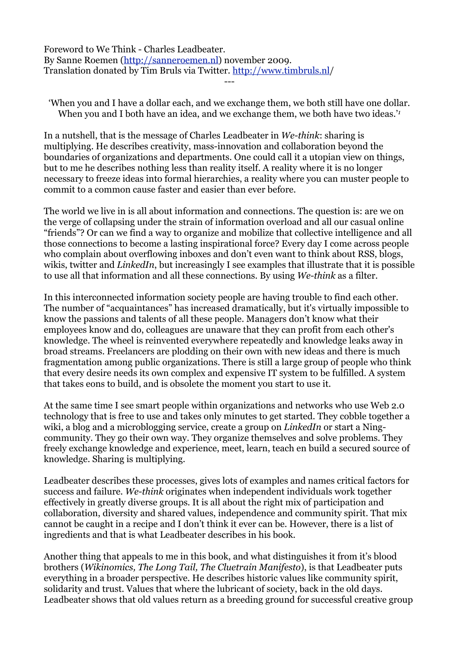Foreword to We Think - Charles Leadbeater. By Sanne Roemen (<http://sanneroemen.nl>) november 2009. Translation donated by Tim Bruls via Twitter. [http://www.timbruls.nl/](http://www.timbruls.nl) ---

'When you and I have a dollar each, and we exchange them, we both still have one dollar. When you and I both have an idea, and we exchange them, we both have two ideas.'*<sup>1</sup>*

In a nutshell, that is the message of Charles Leadbeater in *We-think*: sharing is multiplying. He describes creativity, mass-innovation and collaboration beyond the boundaries of organizations and departments. One could call it a utopian view on things, but to me he describes nothing less than reality itself. A reality where it is no longer necessary to freeze ideas into formal hierarchies, a reality where you can muster people to commit to a common cause faster and easier than ever before.

The world we live in is all about information and connections. The question is: are we on the verge of collapsing under the strain of information overload and all our casual online "friends"? Or can we find a way to organize and mobilize that collective intelligence and all those connections to become a lasting inspirational force? Every day I come across people who complain about overflowing inboxes and don't even want to think about RSS, blogs, wikis, twitter and *LinkedIn*, but increasingly I see examples that illustrate that it is possible to use all that information and all these connections. By using *We-think* as a filter.

In this interconnected information society people are having trouble to find each other. The number of "acquaintances" has increased dramatically, but it's virtually impossible to know the passions and talents of all these people. Managers don't know what their employees know and do, colleagues are unaware that they can profit from each other's knowledge. The wheel is reinvented everywhere repeatedly and knowledge leaks away in broad streams. Freelancers are plodding on their own with new ideas and there is much fragmentation among public organizations. There is still a large group of people who think that every desire needs its own complex and expensive IT system to be fulfilled. A system that takes eons to build, and is obsolete the moment you start to use it.

At the same time I see smart people within organizations and networks who use Web 2.0 technology that is free to use and takes only minutes to get started. They cobble together a wiki, a blog and a microblogging service, create a group on *LinkedIn* or start a Ningcommunity. They go their own way. They organize themselves and solve problems. They freely exchange knowledge and experience, meet, learn, teach en build a secured source of knowledge. Sharing is multiplying.

Leadbeater describes these processes, gives lots of examples and names critical factors for success and failure. *We-think* originates when independent individuals work together effectively in greatly diverse groups. It is all about the right mix of participation and collaboration, diversity and shared values, independence and community spirit. That mix cannot be caught in a recipe and I don't think it ever can be. However, there is a list of ingredients and that is what Leadbeater describes in his book.

Another thing that appeals to me in this book, and what distinguishes it from it's blood brothers (*Wikinomics, The Long Tail, The Cluetrain Manifesto*), is that Leadbeater puts everything in a broader perspective. He describes historic values like community spirit, solidarity and trust. Values that where the lubricant of society, back in the old days. Leadbeater shows that old values return as a breeding ground for successful creative group